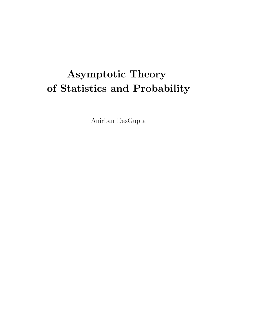# **Asymptotic Theory of Statistics and Probability**

Anirban DasGupta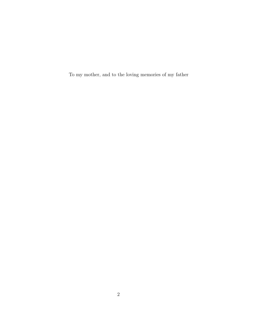To my mother, and to the loving memories of my father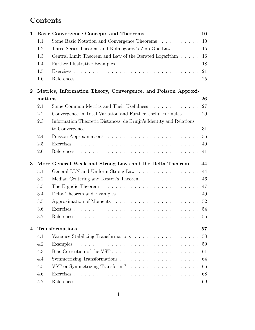## **Contents**

| $\mathbf{1}$ |         | <b>Basic Convergence Concepts and Theorems</b>                                         | 10 |
|--------------|---------|----------------------------------------------------------------------------------------|----|
|              | 1.1     | Some Basic Notation and Convergence Theorems                                           | 10 |
|              | 1.2     | Three Series Theorem and Kolmogorov's Zero-One Law                                     | 15 |
|              | 1.3     | Central Limit Theorem and Law of the Iterated Logarithm                                | 16 |
|              | 1.4     |                                                                                        | 18 |
|              | 1.5     |                                                                                        | 21 |
|              | 1.6     |                                                                                        | 25 |
| $\bf{2}$     |         | Metrics, Information Theory, Convergence, and Poisson Approxi-                         |    |
|              | mations |                                                                                        | 26 |
|              | 2.1     | Some Common Metrics and Their Usefulness                                               | 27 |
|              | 2.2     | Convergence in Total Variation and Further Useful Formulas                             | 29 |
|              | 2.3     | Information Theoretic Distances, de Bruijn's Identity and Relations                    |    |
|              |         | to Convergence $\ldots \ldots \ldots \ldots \ldots \ldots \ldots \ldots \ldots \ldots$ | 31 |
|              | 2.4     |                                                                                        | 36 |
|              | 2.5     |                                                                                        | 40 |
|              | 2.6     |                                                                                        | 41 |
| 3            |         | More General Weak and Strong Laws and the Delta Theorem                                | 44 |
|              | 3.1     | General LLN and Uniform Strong Law                                                     | 44 |
|              | 3.2     | Median Centering and Kesten's Theorem                                                  | 46 |
|              | 3.3     |                                                                                        | 47 |
|              | 3.4     |                                                                                        | 49 |
|              | 3.5     |                                                                                        | 52 |
|              | 3.6     |                                                                                        | 54 |
|              | 3.7     |                                                                                        | 55 |
| 4            |         | <b>Transformations</b>                                                                 | 57 |
|              | 4.1     |                                                                                        | 58 |
|              | 4.2     | Examples                                                                               | 59 |
|              | 4.3     | Bias Correction of the VST                                                             | 61 |
|              | 4.4     |                                                                                        | 64 |
|              | 4.5     |                                                                                        | 66 |
|              | 4.6     |                                                                                        | 68 |
|              | 4.7     |                                                                                        | 69 |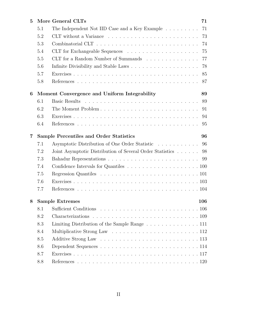| 5 |     | More General CLTs                                                  | 71  |
|---|-----|--------------------------------------------------------------------|-----|
|   | 5.1 | The Independent Not IID Case and a Key Example $\dots \dots \dots$ | 71  |
|   | 5.2 |                                                                    | 73  |
|   | 5.3 |                                                                    | 74  |
|   | 5.4 |                                                                    | 75  |
|   | 5.5 | CLT for a Random Number of Summands                                | 77  |
|   | 5.6 |                                                                    | 78  |
|   | 5.7 |                                                                    | 85  |
|   | 5.8 |                                                                    | 87  |
| 6 |     | Moment Convergence and Uniform Integrability                       | 89  |
|   | 6.1 |                                                                    | 89  |
|   | 6.2 | The Moment Problem                                                 | 91  |
|   | 6.3 |                                                                    | 94  |
|   | 6.4 |                                                                    | 95  |
| 7 |     | Sample Percentiles and Order Statistics                            | 96  |
|   | 7.1 | Asymptotic Distribution of One Order Statistic                     | 96  |
|   | 7.2 | Joint Asymptotic Distribution of Several Order Statistics          | 98  |
|   | 7.3 |                                                                    |     |
|   | 7.4 |                                                                    |     |
|   | 7.5 |                                                                    |     |
|   | 7.6 |                                                                    |     |
|   | 7.7 |                                                                    |     |
| 8 |     | <b>Sample Extremes</b>                                             | 106 |
|   | 8.1 |                                                                    |     |
|   | 8.2 |                                                                    |     |
|   | 8.3 | Limiting Distribution of the Sample Range 111                      |     |
|   | 8.4 |                                                                    |     |
|   | 8.5 |                                                                    |     |
|   | 8.6 |                                                                    |     |
|   | 8.7 |                                                                    |     |
|   |     |                                                                    |     |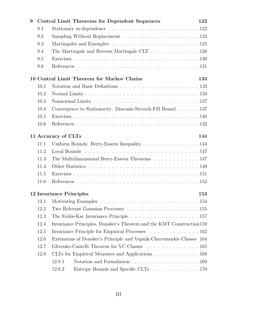| 9   | Central Limit Theorems for Dependent Sequences |                                                                                     |     |  |
|-----|------------------------------------------------|-------------------------------------------------------------------------------------|-----|--|
| 9.1 |                                                |                                                                                     |     |  |
|     | 9.2                                            | Sampling Without Replacement $\ldots \ldots \ldots \ldots \ldots \ldots \ldots 123$ |     |  |
|     | 9.3                                            |                                                                                     |     |  |
|     | 9.4                                            | The Martingale and Reverse Martingale CLT 128                                       |     |  |
|     | 9.5                                            |                                                                                     |     |  |
|     | 9.6                                            |                                                                                     |     |  |
|     |                                                | 10 Central Limit Theorem for Markov Chains                                          | 133 |  |
|     | 10.1                                           |                                                                                     |     |  |
|     | 10.2                                           |                                                                                     |     |  |
|     | 10.3                                           |                                                                                     |     |  |
|     | 10.4                                           | Convergence to Stationarity: Diaconis-Stroock-Fill Bound 137                        |     |  |
|     | 10.5                                           |                                                                                     |     |  |
|     | 10.6                                           |                                                                                     |     |  |
|     |                                                | 11 Accuracy of CLTs                                                                 | 144 |  |
|     | 11.1                                           | Uniform Bounds: Berry-Esseen Inequality 144                                         |     |  |
|     | 11.2                                           |                                                                                     |     |  |
|     | 11.3                                           | The Multidimensional Berry-Esseen Theorems 147                                      |     |  |
|     | 11.4                                           |                                                                                     |     |  |
|     | 11.5                                           |                                                                                     |     |  |
|     | 11.6                                           |                                                                                     |     |  |
|     |                                                | <b>12 Invariance Principles</b>                                                     | 153 |  |
|     | 12.1                                           |                                                                                     |     |  |
|     | 12.2                                           |                                                                                     |     |  |
|     | 12.3                                           |                                                                                     |     |  |
|     | 12.4                                           | Invariance Principles, Donsker's Theorem and the KMT Construction 159               |     |  |
|     | 12.5                                           | Invariance Principle for Empirical Processes 162                                    |     |  |
|     | 12.6                                           | Extensions of Donsker's Principle and Vapnik-Chervonenkis Classes 164               |     |  |
|     | 12.7                                           | Glivenko-Cantelli Theorem for VC Classes 165                                        |     |  |
|     | 12.8                                           | CLTs for Empirical Measures and Applications 168                                    |     |  |
|     |                                                | Notation and Formulation 169<br>12.8.1                                              |     |  |
|     |                                                | 12.8.2<br>Entropy Bounds and Specific CLTs 170                                      |     |  |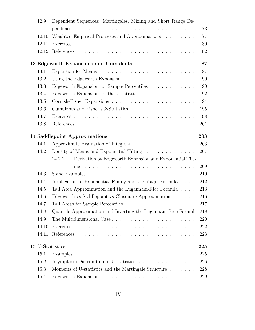| 12.9  | Dependent Sequences: Martingales, Mixing and Short Range De-                                     |
|-------|--------------------------------------------------------------------------------------------------|
|       |                                                                                                  |
| 12.10 | Weighted Empirical Processes and Approximations 177                                              |
| 12.11 |                                                                                                  |
| 12.12 |                                                                                                  |
|       | 13 Edgeworth Expansions and Cumulants<br>187                                                     |
| 13.1  |                                                                                                  |
| 13.2  | Using the Edgeworth Expansion $\ldots \ldots \ldots \ldots \ldots \ldots \ldots 190$             |
| 13.3  | Edgeworth Expansion for Sample Percentiles 190                                                   |
| 13.4  | Edgeworth Expansion for the t-statistic $\ldots \ldots \ldots \ldots \ldots \ldots 192$          |
| 13.5  |                                                                                                  |
| 13.6  |                                                                                                  |
| 13.7  |                                                                                                  |
| 13.8  |                                                                                                  |
|       | 14 Saddlepoint Approximations<br>203                                                             |
| 14.1  | Approximate Evaluation of Integrals 203                                                          |
| 14.2  | Density of Means and Exponential Tilting 207                                                     |
|       | Derivation by Edgeworth Expansion and Exponential Tilt-<br>14.2.1                                |
|       |                                                                                                  |
| 14.3  | Some Examples $\ldots \ldots \ldots \ldots \ldots \ldots \ldots \ldots \ldots \ldots \ldots 210$ |
| 14.4  | Application to Exponential Family and the Magic Formula $\ldots$ . 212                           |
| 14.5  | Tail Area Approximation and the Lugannani-Rice Formula 213                                       |
| 14.6  | Edgeworth vs Saddlepoint vs Chisquare Approximation $\ldots \ldots$ . 216                        |
| 14.7  |                                                                                                  |
| 14.8  | Quantile Approximation and Inverting the Lugannani-Rice Formula 218                              |
| 14.9  |                                                                                                  |
| 14.10 |                                                                                                  |
| 14.11 |                                                                                                  |
|       | 15 <i>U</i> -Statistics<br>225                                                                   |
| 15.1  | Examples                                                                                         |
| 15.2  | Asymptotic Distribution of U-statistics 226                                                      |
| 15.3  | Moments of U-statistics and the Martingale Structure 228                                         |
| 15.4  |                                                                                                  |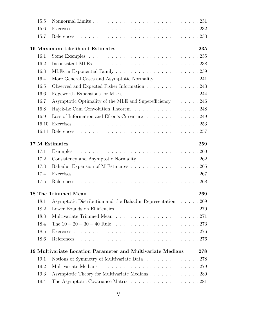| 15.5  |                                                                        |     |
|-------|------------------------------------------------------------------------|-----|
| 15.6  |                                                                        |     |
| 15.7  |                                                                        |     |
|       | 16 Maximum Likelihood Estimates                                        | 235 |
| 16.1  |                                                                        |     |
| 16.2  |                                                                        |     |
| 16.3  |                                                                        |     |
| 16.4  | More General Cases and Asymptotic Normality $\ldots \ldots \ldots 241$ |     |
| 16.5  | Observed and Expected Fisher Information 243                           |     |
| 16.6  |                                                                        |     |
| 16.7  | Asymptotic Optimality of the MLE and Superefficiency 246               |     |
| 16.8  | Hajek-Le Cam Convolution Theorem 248                                   |     |
| 16.9  | Loss of Information and Efron's Curvature 249                          |     |
| 16.10 |                                                                        |     |
|       |                                                                        |     |
|       | 17 M Estimates                                                         | 259 |
| 17.1  |                                                                        |     |
| 17.2  | Consistency and Asymptotic Normality 262                               |     |
| 17.3  |                                                                        |     |
| 17.4  |                                                                        |     |
| 17.5  |                                                                        |     |
|       | 18 The Trimmed Mean                                                    | 269 |
| 18.1  | Asymptotic Distribution and the Bahadur Representation 269             |     |
| 18.2  |                                                                        |     |
| 18.3  |                                                                        |     |
| 18.4  |                                                                        |     |
| 18.5  |                                                                        |     |
| 18.6  |                                                                        |     |
|       | 19 Multivariate Location Parameter and Multivariate Medians            | 278 |
| 19.1  | Notions of Symmetry of Multivariate Data 278                           |     |
| 19.2  |                                                                        |     |
| 19.3  | Asymptotic Theory for Multivariate Medians 280                         |     |
| 19.4  | The Asymptotic Covariance Matrix 281                                   |     |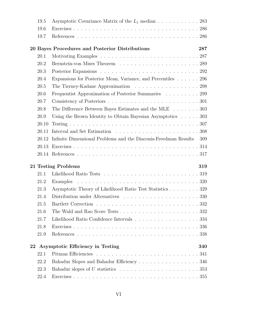|    | 19.5  | Asymptotic Covariance Matrix of the $L_1$ median 283                                             |
|----|-------|--------------------------------------------------------------------------------------------------|
|    | 19.6  |                                                                                                  |
|    | 19.7  |                                                                                                  |
|    |       | 20 Bayes Procedures and Posterior Distributions<br>287                                           |
|    | 20.1  |                                                                                                  |
|    | 20.2  |                                                                                                  |
|    | 20.3  |                                                                                                  |
|    | 20.4  | Expansions for Posterior Mean, Variance, and Percentiles 296                                     |
|    | 20.5  | The Tierney-Kadane Approximation 298                                                             |
|    | 20.6  | Frequentist Approximation of Posterior Summaries 299                                             |
|    | 20.7  |                                                                                                  |
|    | 20.8  | The Difference Between Bayes Estimates and the MLE $\ldots \ldots \ldots$ 303                    |
|    | 20.9  | Using the Brown Identity to Obtain Bayesian Asymptotics $\ldots$ . 303                           |
|    | 20.10 |                                                                                                  |
|    | 20.11 |                                                                                                  |
|    | 20.12 | Infinite Dimensional Problems and the Diaconis-Freedman Results<br>309                           |
|    | 20.13 |                                                                                                  |
|    |       |                                                                                                  |
|    |       |                                                                                                  |
|    |       |                                                                                                  |
|    |       | 21 Testing Problems<br>319                                                                       |
|    | 21.1  |                                                                                                  |
|    | 21.2  |                                                                                                  |
|    | 21.3  | Asymptotic Theory of Likelihood Ratio Test Statistics 329                                        |
|    | 21.4  |                                                                                                  |
|    | 21.5  |                                                                                                  |
|    | 21.6  |                                                                                                  |
|    | 21.7  | Likelihood Ratio Confidence Intervals 334                                                        |
|    | 21.8  |                                                                                                  |
|    | 21.9  |                                                                                                  |
| 22 |       | Asymptotic Efficiency in Testing<br>340                                                          |
|    | 22.1  |                                                                                                  |
|    | 22.2  | Bahadur Slopes and Bahadur Efficiency 346                                                        |
|    | 22.3  | Bahadur slopes of U statistics $\dots \dots \dots \dots \dots \dots \dots \dots \dots \dots$ 353 |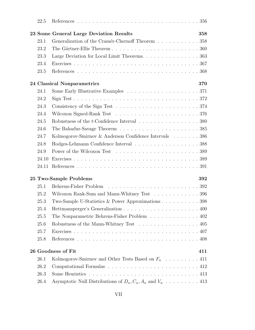| 22.5  |                                                                                          |     |
|-------|------------------------------------------------------------------------------------------|-----|
|       | 23 Some General Large Deviation Results                                                  | 358 |
| 23.1  | Generalization of the Cramér-Chernoff Theorem 358                                        |     |
| 23.2  |                                                                                          |     |
| 23.3  | Large Deviation for Local Limit Theorems. 363                                            |     |
| 23.4  |                                                                                          |     |
| 23.5  |                                                                                          |     |
|       | 24 Classical Nonparametrics                                                              | 370 |
| 24.1  |                                                                                          |     |
| 24.2  |                                                                                          |     |
| 24.3  |                                                                                          |     |
| 24.4  |                                                                                          |     |
| 24.5  | Robustness of the <i>t</i> -Confidence Interval $\ldots \ldots \ldots \ldots \ldots 380$ |     |
| 24.6  |                                                                                          |     |
| 24.7  | Kolmogorov-Smirnov & Anderson Confidence Intervals 386                                   |     |
| 24.8  | Hodges-Lehmann Confidence Interval 388                                                   |     |
| 24.9  |                                                                                          |     |
| 24.10 |                                                                                          |     |
| 24.11 |                                                                                          |     |
|       | 25 Two-Sample Problems                                                                   | 392 |
| 25.1  |                                                                                          |     |
| 25.2  | Wilcoxon Rank-Sum and Mann-Whitney Test 396                                              |     |
| 25.3  | Two-Sample U-Statistics & Power Approximations 398                                       |     |
| 25.4  |                                                                                          |     |
| 25.5  | The Nonparametric Behrens-Fisher Problem 402                                             |     |
| 25.6  | Robustness of the Mann-Whitney Test 405                                                  |     |
| 25.7  |                                                                                          |     |
| 25.8  |                                                                                          |     |
|       | 26 Goodness of Fit                                                                       | 411 |
| 26.1  | Kolmogorov-Smirnov and Other Tests Based on $F_n$ 411                                    |     |
| 26.2  |                                                                                          |     |
| 26.3  |                                                                                          |     |
| 26.4  | Asymptotic Null Distributions of $D_n, C_n, A_n$ and $V_n$ 413                           |     |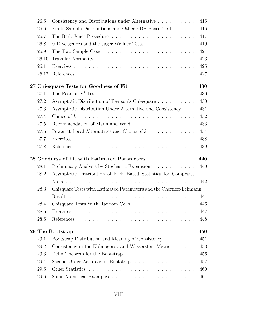| 26.5  | Consistency and Distributions under Alternative 415                                      |
|-------|------------------------------------------------------------------------------------------|
| 26.6  | Finite Sample Distributions and Other EDF Based Tests 416                                |
| 26.7  |                                                                                          |
| 26.8  | $\varphi$ -Divergences and the Jager-Wellner Tests 419                                   |
| 26.9  | The Two Sample Case $\ldots \ldots \ldots \ldots \ldots \ldots \ldots \ldots \ldots 421$ |
| 26.10 |                                                                                          |
| 26.11 |                                                                                          |
|       |                                                                                          |
|       | 27 Chi-square Tests for Goodness of Fit<br>430                                           |
| 27.1  |                                                                                          |
| 27.2  | Asymptotic Distribution of Pearson's Chi-square 430                                      |
| 27.3  | Asymptotic Distribution Under Alternative and Consistency 431                            |
| 27.4  | Choice of $k$                                                                            |
| 27.5  | Recommendation of Mann and Wald 433                                                      |
| 27.6  |                                                                                          |
| 27.7  |                                                                                          |
| 27.8  |                                                                                          |
|       |                                                                                          |
|       | 28 Goodness of Fit with Estimated Parameters<br>440                                      |
| 28.1  | Preliminary Analysis by Stochastic Expansions 440                                        |
| 28.2  | Asymptotic Distribution of EDF Based Statistics for Composite                            |
|       |                                                                                          |
| 28.3  | Chisquare Tests with Estimated Parameters and the Chernoff-Lehmann                       |
|       | Result                                                                                   |
| 28.4  | Chisquare Tests With Random Cells<br>446<br>$\frac{1}{2}$                                |
| 28.5  |                                                                                          |
| 28.6  |                                                                                          |
|       | 29 The Bootstrap<br>450                                                                  |
| 29.1  | Bootstrap Distribution and Meaning of Consistency 451                                    |
| 29.2  | Consistency in the Kolmogorov and Wasserstein Metric 453                                 |
| 29.3  | Delta Theorem for the Bootstrap $\ldots \ldots \ldots \ldots \ldots \ldots 456$          |
| 29.4  | Second Order Accuracy of Bootstrap 457                                                   |
| 29.5  |                                                                                          |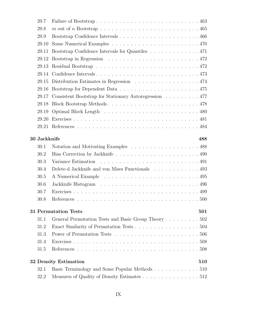| 29.7                |                                                        |
|---------------------|--------------------------------------------------------|
| 29.8                |                                                        |
| 29.9                |                                                        |
| 29.10               |                                                        |
| 29.11               | Bootstrap Confidence Intervals for Quantiles 471       |
| 29.12               |                                                        |
| 29.13               |                                                        |
| 29.14               |                                                        |
| 29.15               | Distribution Estimates in Regression 474               |
| 29.16               |                                                        |
| 29.17               | Consistent Bootstrap for Stationary Autoregression 477 |
| 29.18               |                                                        |
| 29.19               |                                                        |
| 29.20               |                                                        |
| 29.21               |                                                        |
| <b>30 Jackknife</b> | 488                                                    |
| 30.1                | Notation and Motivating Examples 488                   |
| 30.2                |                                                        |
| 30.3                |                                                        |
| 30.4                | Delete-d Jackknife and von Mises Functionals 493       |
| 30.5                |                                                        |
| 30.6                |                                                        |
| 30.7                |                                                        |
| 30.8                |                                                        |
|                     | <b>31 Permutation Tests</b><br>501                     |
| 31.1                | General Permutation Tests and Basic Group Theory 502   |
| 31.2                |                                                        |
| 31.3                |                                                        |
| 31.4                |                                                        |
| 31.5                |                                                        |
|                     | <b>32 Density Estimation</b><br>510                    |
| 32.1                | Basic Terminology and Some Popular Methods 510         |
| 32.2                | Measures of Quality of Density Estimates 512           |
|                     |                                                        |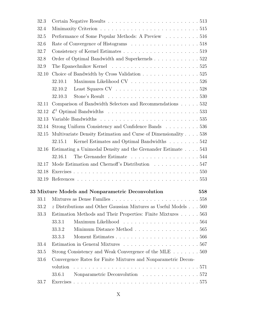|      | 32.3  |                                                                                                |     |
|------|-------|------------------------------------------------------------------------------------------------|-----|
| 32.4 |       |                                                                                                |     |
|      | 32.5  | Performance of Some Popular Methods: A Preview 516                                             |     |
|      | 32.6  |                                                                                                |     |
|      | 32.7  |                                                                                                |     |
|      | 32.8  | Order of Optimal Bandwidth and Superkernels 522                                                |     |
|      | 32.9  |                                                                                                |     |
|      | 32.10 | Choice of Bandwidth by Cross Validation 525                                                    |     |
|      |       | Maximum Likelihood CV $\ldots \ldots \ldots \ldots \ldots \ldots 526$<br>32.10.1               |     |
|      |       | 32.10.2                                                                                        |     |
|      |       | Stone's Result $\ldots \ldots \ldots \ldots \ldots \ldots \ldots \ldots \ldots 530$<br>32.10.3 |     |
|      | 32.11 | Comparison of Bandwidth Selectors and Recommendations 532                                      |     |
|      | 32.12 |                                                                                                |     |
|      | 32.13 |                                                                                                |     |
|      | 32.14 | Strong Uniform Consistency and Confidence Bands 536                                            |     |
|      | 32.15 | Multivariate Density Estimation and Curse of Dimensionality 538                                |     |
|      |       | Kernel Estimates and Optimal Bandwidths 542<br>32.15.1                                         |     |
|      | 32.16 | Estimating a Unimodal Density and the Grenander Estimate 543                                   |     |
|      |       | The Grenander Estimate 544<br>32.16.1                                                          |     |
|      | 32.17 | Mode Estimation and Chernoff's Distribution 547                                                |     |
|      | 32.18 |                                                                                                |     |
|      | 32.19 |                                                                                                |     |
|      |       | 33 Mixture Models and Nonparametric Deconvolution                                              | 558 |
|      | 33.1  |                                                                                                |     |
|      | 33.2  | $z$ Distributions and Other Gaussian Mixtures as Useful Models $\ldots$ 560                    |     |
|      | 33.3  | Estimation Methods and Their Properties: Finite Mixtures 563                                   |     |
|      |       | 33.3.1                                                                                         |     |
|      |       | Minimum Distance Method $\ldots \ldots \ldots \ldots \ldots \ldots 565$<br>33.3.2              |     |
|      |       | 33.3.3                                                                                         |     |
|      | 33.4  |                                                                                                |     |
|      | 33.5  | Strong Consistency and Weak Convergence of the MLE 569                                         |     |
|      | 33.6  | Convergence Rates for Finite Mixtures and Nonparametric Decon-                                 |     |
|      |       | volution                                                                                       |     |
|      |       | Nonparametric Deconvolution 572<br>33.6.1                                                      |     |
|      | 33.7  |                                                                                                |     |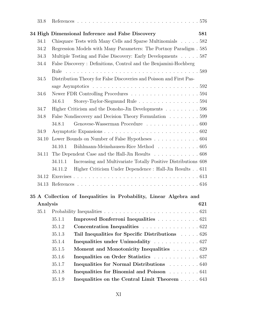| 33.8     |                                                                             |     |  |  |
|----------|-----------------------------------------------------------------------------|-----|--|--|
|          | 34 High Dimensional Inference and False Discovery                           | 581 |  |  |
| 34.1     | Chisquare Tests with Many Cells and Sparse Multinomials 582                 |     |  |  |
| 34.2     | Regression Models with Many Parameters: The Portnoy Paradigm . 585          |     |  |  |
| 34.3     | Multiple Testing and False Discovery: Early Developments 587                |     |  |  |
| 34.4     | False Discovery: Definitions, Control and the Benjamini-Hochberg            |     |  |  |
|          |                                                                             |     |  |  |
| 34.5     | Distribution Theory for False Discoveries and Poisson and First Pas-        |     |  |  |
|          |                                                                             |     |  |  |
| 34.6     |                                                                             |     |  |  |
|          | Storey-Taylor-Siegmund Rule 594<br>34.6.1                                   |     |  |  |
| 34.7     | Higher Criticism and the Donoho-Jin Developments $\ldots \ldots \ldots 596$ |     |  |  |
| 34.8     | False Nondiscovery and Decision Theory Formulation 599                      |     |  |  |
|          | Genovese-Wasserman Procedure 600<br>34.8.1                                  |     |  |  |
| 34.9     |                                                                             |     |  |  |
|          | 34.10 Lower Bounds on Number of False Hypotheses 604                        |     |  |  |
|          | Bühlmann-Meinshausen-Rice Method 605<br>34.10.1                             |     |  |  |
|          | 34.11 The Dependent Case and the Hall-Jin Results 608                       |     |  |  |
|          | Increasing and Multivariate Totally Positive Distributions 608<br>34.11.1   |     |  |  |
|          | Higher Criticism Under Dependence : Hall-Jin Results 611<br>34.11.2         |     |  |  |
|          |                                                                             |     |  |  |
|          |                                                                             |     |  |  |
|          | 35 A Collection of Inequalities in Probability, Linear Algebra and          |     |  |  |
| Analysis |                                                                             | 621 |  |  |
| 35.1     |                                                                             |     |  |  |
|          | Improved Bonferroni Inequalities 621<br>35.1.1                              |     |  |  |
|          | 35.1.2<br>Concentration Inequalities 622                                    |     |  |  |
|          | Tail Inequalities for Specific Distributions 626<br>35.1.3                  |     |  |  |
|          | Inequalities under Unimodality 627<br>35.1.4                                |     |  |  |
|          | 35.1.5<br>Moment and Monotonicity Inequalities 629                          |     |  |  |
|          | Inequalities on Order Statistics 637<br>35.1.6                              |     |  |  |
|          | 35.1.7<br>Inequalities for Normal Distributions 640                         |     |  |  |
|          | 35.1.8<br>Inequalities for Binomial and Poisson 641                         |     |  |  |
|          | 35.1.9<br>Inequalities on the Central Limit Theorem 643                     |     |  |  |
|          |                                                                             |     |  |  |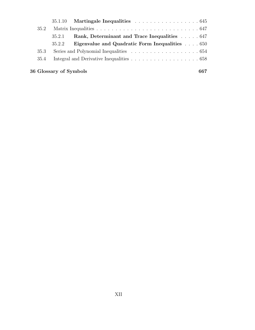|      |        | $35.1.10$ Martingale Inequalities 645                 |  |
|------|--------|-------------------------------------------------------|--|
| 35.2 |        |                                                       |  |
|      | 35.2.1 | Rank, Determinant and Trace Inequalities 647          |  |
|      | 35.2.2 | <b>Eigenvalue and Quadratic Form Inequalities</b> 650 |  |
| 35.3 |        |                                                       |  |
| 35.4 |        |                                                       |  |
|      |        |                                                       |  |

### **36 Glossary of Symbols 667**